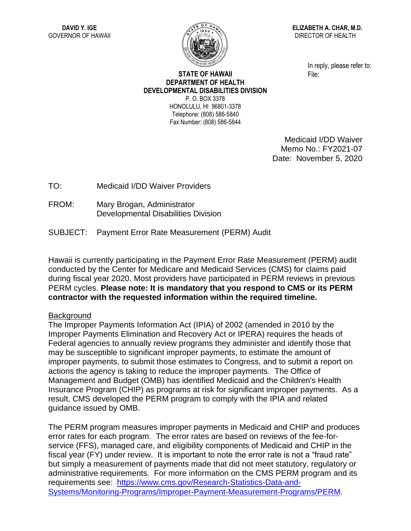

**ELIZABETH A. CHAR, M.D.** DIRECTOR OF HEALTH

> In reply, please refer to: File:

## **STATE OF HAWAII DEPARTMENT OF HEALTH DEVELOPMENTAL DISABILITIES DIVISION** P. O. BOX 3378 HONOLULU, HI 96801-3378

Telephone: (808) 586-5840 Fax Number: (808) 586-5844

> Medicaid I/DD Waiver Memo No.: FY2021-07 Date: November 5, 2020

TO: Medicaid I/DD Waiver Providers

- FROM: Mary Brogan, Administrator Developmental Disabilities Division
- SUBJECT: Payment Error Rate Measurement (PERM) Audit

Hawaii is currently participating in the Payment Error Rate Measurement (PERM) audit conducted by the Center for Medicare and Medicaid Services (CMS) for claims paid during fiscal year 2020. Most providers have participated in PERM reviews in previous PERM cycles. **Please note: It is mandatory that you respond to CMS or its PERM contractor with the requested information within the required timeline.**

## **Background**

The Improper Payments Information Act (IPIA) of 2002 (amended in 2010 by the Improper Payments Elimination and Recovery Act or IPERA) requires the heads of Federal agencies to annually review programs they administer and identify those that may be susceptible to significant improper payments, to estimate the amount of improper payments, to submit those estimates to Congress, and to submit a report on actions the agency is taking to reduce the improper payments. The Office of Management and Budget (OMB) has identified Medicaid and the Children's Health Insurance Program (CHIP) as programs at risk for significant improper payments. As a result, CMS developed the PERM program to comply with the IPIA and related guidance issued by OMB.

The PERM program measures improper payments in Medicaid and CHIP and produces error rates for each program. The error rates are based on reviews of the fee-forservice (FFS), managed care, and eligibility components of Medicaid and CHIP in the fiscal year (FY) under review. It is important to note the error rate is not a "fraud rate" but simply a measurement of payments made that did not meet statutory, regulatory or administrative requirements. For more information on the CMS PERM program and its requirements see: [https://www.cms.gov/Research-Statistics-Data-and-](https://www.cms.gov/Research-Statistics-Data-and-Systems/Monitoring-Programs/Improper-Payment-Measurement-Programs/PERM)[Systems/Monitoring-Programs/Improper-Payment-Measurement-Programs/PERM.](https://www.cms.gov/Research-Statistics-Data-and-Systems/Monitoring-Programs/Improper-Payment-Measurement-Programs/PERM)